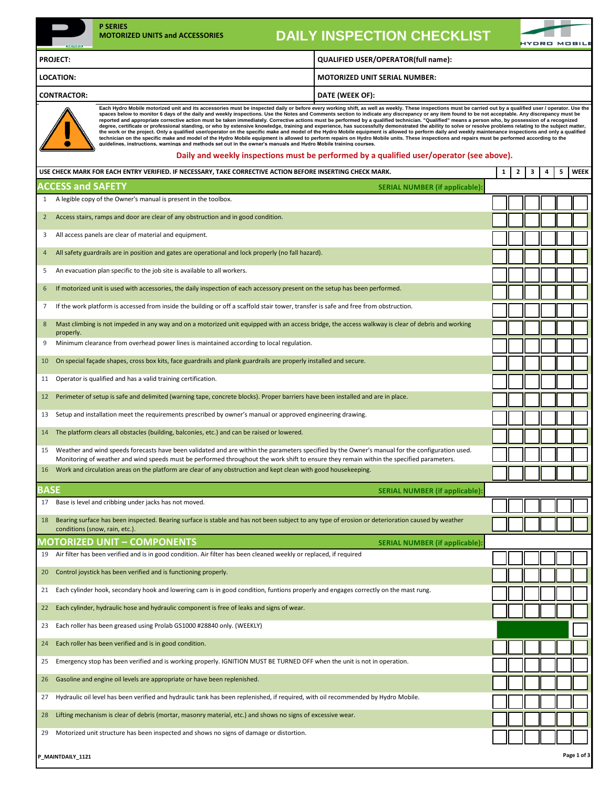| <b>P SERIES</b><br><b>MOTORIZED UNITS and ACCESSORIES</b><br>$63 = 1153$                                                                                                                                                                                                                                                                                                                                                                                                                                                                                                                                                                                                                                                                                                                                                                                                                                                                                                                                                                                                                                                                                                                                                                                                                                                                                                   | <b>DAILY INSPECTION CHECKLIST</b>                                                        |   |   |   |   |   |             |
|----------------------------------------------------------------------------------------------------------------------------------------------------------------------------------------------------------------------------------------------------------------------------------------------------------------------------------------------------------------------------------------------------------------------------------------------------------------------------------------------------------------------------------------------------------------------------------------------------------------------------------------------------------------------------------------------------------------------------------------------------------------------------------------------------------------------------------------------------------------------------------------------------------------------------------------------------------------------------------------------------------------------------------------------------------------------------------------------------------------------------------------------------------------------------------------------------------------------------------------------------------------------------------------------------------------------------------------------------------------------------|------------------------------------------------------------------------------------------|---|---|---|---|---|-------------|
| <b>PROJECT:</b>                                                                                                                                                                                                                                                                                                                                                                                                                                                                                                                                                                                                                                                                                                                                                                                                                                                                                                                                                                                                                                                                                                                                                                                                                                                                                                                                                            | QUALIFIED USER/OPERATOR(full name):                                                      |   |   |   |   |   |             |
| <b>LOCATION:</b>                                                                                                                                                                                                                                                                                                                                                                                                                                                                                                                                                                                                                                                                                                                                                                                                                                                                                                                                                                                                                                                                                                                                                                                                                                                                                                                                                           | MOTORIZED UNIT SERIAL NUMBER:                                                            |   |   |   |   |   |             |
| <b>CONTRACTOR:</b>                                                                                                                                                                                                                                                                                                                                                                                                                                                                                                                                                                                                                                                                                                                                                                                                                                                                                                                                                                                                                                                                                                                                                                                                                                                                                                                                                         | DATE (WEEK OF):                                                                          |   |   |   |   |   |             |
| Each Hydro Mobile motorized unit and its accessories must be inspected daily or before every working shift, as well as weekly. These inspections must be carried out by a qualified user / operator. Use the<br>spaces below to monitor 6 days of the daily and weekly inspections. Use the Notes and Comments section to indicate any discrepancy or any item found to be not acceptable. Any discrepancy must be<br>reported and appropriate corrective action must be taken immediately. Corrective actions must be performed by a qualified technician. "Qualified" means a person who, by possession of a recognized<br>degree, certificate or professional standing, or who by extensive knowledge, training and experience, has successfully demonstrated the ability to solve or resolve problems relating to the subject matter,<br>the work or the project. Only a qualified user/operator on the specific make and model of the Hydro Mobile equipment is allowed to perform daily and weekly maintenance inspections and only a qualified<br>technician on the specific make and model of the Hydro Mobile equipment is allowed to perform repairs on Hydro Mobile units. These inspections and repairs must be performed according to the<br>guidelines, instructions, warnings and methods set out in the owner's manuals and Hydro Mobile training courses. | Daily and weekly inspections must be performed by a qualified user/operator (see above). |   |   |   |   |   |             |
| USE CHECK MARK FOR EACH ENTRY VERIFIED. IF NECESSARY, TAKE CORRECTIVE ACTION BEFORE INSERTING CHECK MARK.                                                                                                                                                                                                                                                                                                                                                                                                                                                                                                                                                                                                                                                                                                                                                                                                                                                                                                                                                                                                                                                                                                                                                                                                                                                                  |                                                                                          | 1 | 2 | з | 4 | 5 | <b>WEEK</b> |
| <b>ACCESS and SAFETY</b>                                                                                                                                                                                                                                                                                                                                                                                                                                                                                                                                                                                                                                                                                                                                                                                                                                                                                                                                                                                                                                                                                                                                                                                                                                                                                                                                                   | <b>SERIAL NUMBER (if applicable):</b>                                                    |   |   |   |   |   |             |
| 1 A legible copy of the Owner's manual is present in the toolbox.                                                                                                                                                                                                                                                                                                                                                                                                                                                                                                                                                                                                                                                                                                                                                                                                                                                                                                                                                                                                                                                                                                                                                                                                                                                                                                          |                                                                                          |   |   |   |   |   |             |
| Access stairs, ramps and door are clear of any obstruction and in good condition.<br>$2^{\circ}$                                                                                                                                                                                                                                                                                                                                                                                                                                                                                                                                                                                                                                                                                                                                                                                                                                                                                                                                                                                                                                                                                                                                                                                                                                                                           |                                                                                          |   |   |   |   |   |             |
| All access panels are clear of material and equipment.<br>3                                                                                                                                                                                                                                                                                                                                                                                                                                                                                                                                                                                                                                                                                                                                                                                                                                                                                                                                                                                                                                                                                                                                                                                                                                                                                                                |                                                                                          |   |   |   |   |   |             |
| All safety guardrails are in position and gates are operational and lock properly (no fall hazard).<br>4                                                                                                                                                                                                                                                                                                                                                                                                                                                                                                                                                                                                                                                                                                                                                                                                                                                                                                                                                                                                                                                                                                                                                                                                                                                                   |                                                                                          |   |   |   |   |   |             |
| An evacuation plan specific to the job site is available to all workers.<br>5                                                                                                                                                                                                                                                                                                                                                                                                                                                                                                                                                                                                                                                                                                                                                                                                                                                                                                                                                                                                                                                                                                                                                                                                                                                                                              |                                                                                          |   |   |   |   |   |             |
| If motorized unit is used with accessories, the daily inspection of each accessory present on the setup has been performed.<br>6                                                                                                                                                                                                                                                                                                                                                                                                                                                                                                                                                                                                                                                                                                                                                                                                                                                                                                                                                                                                                                                                                                                                                                                                                                           |                                                                                          |   |   |   |   |   |             |
| If the work platform is accessed from inside the building or off a scaffold stair tower, transfer is safe and free from obstruction.<br>7                                                                                                                                                                                                                                                                                                                                                                                                                                                                                                                                                                                                                                                                                                                                                                                                                                                                                                                                                                                                                                                                                                                                                                                                                                  |                                                                                          |   |   |   |   |   |             |
| Mast climbing is not impeded in any way and on a motorized unit equipped with an access bridge, the access walkway is clear of debris and working<br>8                                                                                                                                                                                                                                                                                                                                                                                                                                                                                                                                                                                                                                                                                                                                                                                                                                                                                                                                                                                                                                                                                                                                                                                                                     |                                                                                          |   |   |   |   |   |             |
| properly.<br>Minimum clearance from overhead power lines is maintained according to local regulation.<br>9                                                                                                                                                                                                                                                                                                                                                                                                                                                                                                                                                                                                                                                                                                                                                                                                                                                                                                                                                                                                                                                                                                                                                                                                                                                                 |                                                                                          |   |   |   |   |   |             |
| On special façade shapes, cross box kits, face guardrails and plank guardrails are properly installed and secure.<br>10                                                                                                                                                                                                                                                                                                                                                                                                                                                                                                                                                                                                                                                                                                                                                                                                                                                                                                                                                                                                                                                                                                                                                                                                                                                    |                                                                                          |   |   |   |   |   |             |
| Operator is qualified and has a valid training certification.<br>11                                                                                                                                                                                                                                                                                                                                                                                                                                                                                                                                                                                                                                                                                                                                                                                                                                                                                                                                                                                                                                                                                                                                                                                                                                                                                                        |                                                                                          |   |   |   |   |   |             |
| Perimeter of setup is safe and delimited (warning tape, concrete blocks). Proper barriers have been installed and are in place.<br>12                                                                                                                                                                                                                                                                                                                                                                                                                                                                                                                                                                                                                                                                                                                                                                                                                                                                                                                                                                                                                                                                                                                                                                                                                                      |                                                                                          |   |   |   |   |   |             |
| Setup and installation meet the requirements prescribed by owner's manual or approved engineering drawing.<br>13                                                                                                                                                                                                                                                                                                                                                                                                                                                                                                                                                                                                                                                                                                                                                                                                                                                                                                                                                                                                                                                                                                                                                                                                                                                           |                                                                                          |   |   |   |   |   |             |
| The platform clears all obstacles (building, balconies, etc.) and can be raised or lowered.<br>14                                                                                                                                                                                                                                                                                                                                                                                                                                                                                                                                                                                                                                                                                                                                                                                                                                                                                                                                                                                                                                                                                                                                                                                                                                                                          |                                                                                          |   |   |   |   |   |             |
| Weather and wind speeds forecasts have been validated and are within the parameters specified by the Owner's manual for the configuration used.<br>15                                                                                                                                                                                                                                                                                                                                                                                                                                                                                                                                                                                                                                                                                                                                                                                                                                                                                                                                                                                                                                                                                                                                                                                                                      |                                                                                          |   |   |   |   |   |             |
| Monitoring of weather and wind speeds must be performed throughout the work shift to ensure they remain within the specified parameters.<br>16 Work and circulation areas on the platform are clear of any obstruction and kept clean with good housekeeping.                                                                                                                                                                                                                                                                                                                                                                                                                                                                                                                                                                                                                                                                                                                                                                                                                                                                                                                                                                                                                                                                                                              |                                                                                          |   |   |   |   |   |             |
|                                                                                                                                                                                                                                                                                                                                                                                                                                                                                                                                                                                                                                                                                                                                                                                                                                                                                                                                                                                                                                                                                                                                                                                                                                                                                                                                                                            |                                                                                          |   |   |   |   |   |             |
| <b>BASE</b><br>Base is level and cribbing under jacks has not moved.<br>17                                                                                                                                                                                                                                                                                                                                                                                                                                                                                                                                                                                                                                                                                                                                                                                                                                                                                                                                                                                                                                                                                                                                                                                                                                                                                                 | <b>SERIAL NUMBER (if applicable)</b>                                                     |   |   |   |   |   |             |
| Bearing surface has been inspected. Bearing surface is stable and has not been subject to any type of erosion or deterioration caused by weather<br>18                                                                                                                                                                                                                                                                                                                                                                                                                                                                                                                                                                                                                                                                                                                                                                                                                                                                                                                                                                                                                                                                                                                                                                                                                     |                                                                                          |   |   |   |   |   |             |
| conditions (snow, rain, etc.).                                                                                                                                                                                                                                                                                                                                                                                                                                                                                                                                                                                                                                                                                                                                                                                                                                                                                                                                                                                                                                                                                                                                                                                                                                                                                                                                             |                                                                                          |   |   |   |   |   |             |
| <b>MOTORIZED UNIT - COMPONENTS</b><br>Air filter has been verified and is in good condition. Air filter has been cleaned weekly or replaced, if required<br>19                                                                                                                                                                                                                                                                                                                                                                                                                                                                                                                                                                                                                                                                                                                                                                                                                                                                                                                                                                                                                                                                                                                                                                                                             | <b>SERIAL NUMBER (if applicable)</b>                                                     |   |   |   |   |   |             |
| Control joystick has been verified and is functioning properly.<br>20                                                                                                                                                                                                                                                                                                                                                                                                                                                                                                                                                                                                                                                                                                                                                                                                                                                                                                                                                                                                                                                                                                                                                                                                                                                                                                      |                                                                                          |   |   |   |   |   |             |
|                                                                                                                                                                                                                                                                                                                                                                                                                                                                                                                                                                                                                                                                                                                                                                                                                                                                                                                                                                                                                                                                                                                                                                                                                                                                                                                                                                            |                                                                                          |   |   |   |   |   |             |
| Each cylinder hook, secondary hook and lowering cam is in good condition, funtions properly and engages correctly on the mast rung.<br>21                                                                                                                                                                                                                                                                                                                                                                                                                                                                                                                                                                                                                                                                                                                                                                                                                                                                                                                                                                                                                                                                                                                                                                                                                                  |                                                                                          |   |   |   |   |   |             |
| Each cylinder, hydraulic hose and hydraulic component is free of leaks and signs of wear.<br>22                                                                                                                                                                                                                                                                                                                                                                                                                                                                                                                                                                                                                                                                                                                                                                                                                                                                                                                                                                                                                                                                                                                                                                                                                                                                            |                                                                                          |   |   |   |   |   |             |
| Each roller has been greased using Prolab GS1000 #28840 only. (WEEKLY)<br>23                                                                                                                                                                                                                                                                                                                                                                                                                                                                                                                                                                                                                                                                                                                                                                                                                                                                                                                                                                                                                                                                                                                                                                                                                                                                                               |                                                                                          |   |   |   |   |   |             |
| Each roller has been verified and is in good condition.<br>24                                                                                                                                                                                                                                                                                                                                                                                                                                                                                                                                                                                                                                                                                                                                                                                                                                                                                                                                                                                                                                                                                                                                                                                                                                                                                                              |                                                                                          |   |   |   |   |   |             |
| Emergency stop has been verified and is working properly. IGNITION MUST BE TURNED OFF when the unit is not in operation.<br>25                                                                                                                                                                                                                                                                                                                                                                                                                                                                                                                                                                                                                                                                                                                                                                                                                                                                                                                                                                                                                                                                                                                                                                                                                                             |                                                                                          |   |   |   |   |   |             |
| Gasoline and engine oil levels are appropriate or have been replenished.<br>26                                                                                                                                                                                                                                                                                                                                                                                                                                                                                                                                                                                                                                                                                                                                                                                                                                                                                                                                                                                                                                                                                                                                                                                                                                                                                             |                                                                                          |   |   |   |   |   |             |
| Hydraulic oil level has been verified and hydraulic tank has been replenished, if required, with oil recommended by Hydro Mobile.<br>27                                                                                                                                                                                                                                                                                                                                                                                                                                                                                                                                                                                                                                                                                                                                                                                                                                                                                                                                                                                                                                                                                                                                                                                                                                    |                                                                                          |   |   |   |   |   |             |
| Lifting mechanism is clear of debris (mortar, masonry material, etc.) and shows no signs of excessive wear.<br>28                                                                                                                                                                                                                                                                                                                                                                                                                                                                                                                                                                                                                                                                                                                                                                                                                                                                                                                                                                                                                                                                                                                                                                                                                                                          |                                                                                          |   |   |   |   |   |             |
| Motorized unit structure has been inspected and shows no signs of damage or distortion.<br>29                                                                                                                                                                                                                                                                                                                                                                                                                                                                                                                                                                                                                                                                                                                                                                                                                                                                                                                                                                                                                                                                                                                                                                                                                                                                              |                                                                                          |   |   |   |   |   |             |

| P_MAINTDAILY_1121 | Page 1 of 3 |
|-------------------|-------------|
|-------------------|-------------|

120.000 120320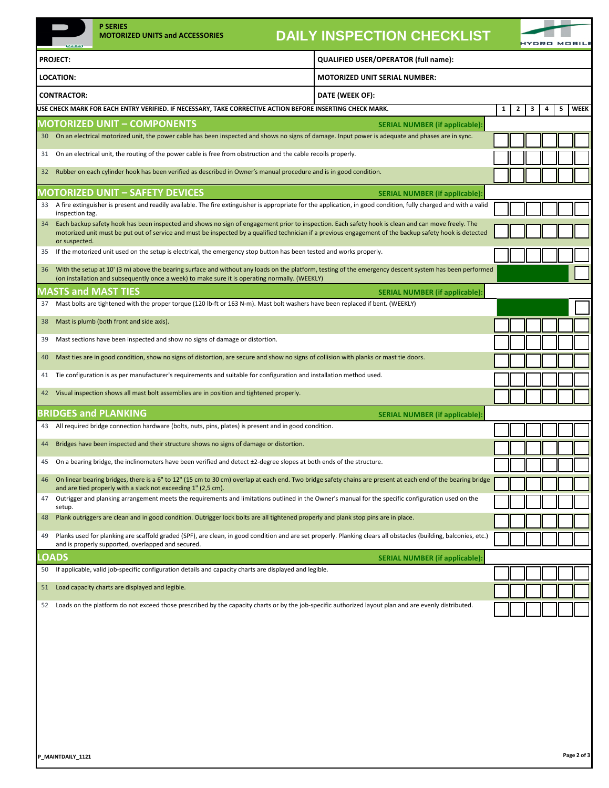|                                                                                                                            | $5 = 1 = 3$                                                                                                                                                                                                          | <b>P SERIES</b><br><b>MOTORIZED UNITS and ACCESSORIES</b>                                                                                                                                                                                                                                                      | <b>DAILY INSPECTION CHECKLIST</b>    |                                       |                              |   | <b>IYDRO MOBILI</b> |   |             |
|----------------------------------------------------------------------------------------------------------------------------|----------------------------------------------------------------------------------------------------------------------------------------------------------------------------------------------------------------------|----------------------------------------------------------------------------------------------------------------------------------------------------------------------------------------------------------------------------------------------------------------------------------------------------------------|--------------------------------------|---------------------------------------|------------------------------|---|---------------------|---|-------------|
|                                                                                                                            | <b>PROJECT:</b>                                                                                                                                                                                                      |                                                                                                                                                                                                                                                                                                                | QUALIFIED USER/OPERATOR (full name): |                                       |                              |   |                     |   |             |
|                                                                                                                            | <b>LOCATION:</b>                                                                                                                                                                                                     |                                                                                                                                                                                                                                                                                                                | <b>MOTORIZED UNIT SERIAL NUMBER:</b> |                                       |                              |   |                     |   |             |
|                                                                                                                            | <b>CONTRACTOR:</b>                                                                                                                                                                                                   |                                                                                                                                                                                                                                                                                                                | DATE (WEEK OF):                      |                                       |                              |   |                     |   |             |
|                                                                                                                            |                                                                                                                                                                                                                      | USE CHECK MARK FOR EACH ENTRY VERIFIED. IF NECESSARY, TAKE CORRECTIVE ACTION BEFORE INSERTING CHECK MARK.                                                                                                                                                                                                      |                                      |                                       | $\mathbf{2}$<br>$\mathbf{1}$ | 3 | 4                   | 5 | <b>WEEK</b> |
|                                                                                                                            |                                                                                                                                                                                                                      | <b>MOTORIZED UNIT - COMPONENTS</b>                                                                                                                                                                                                                                                                             |                                      | <b>SERIAL NUMBER (if applicable):</b> |                              |   |                     |   |             |
| 30                                                                                                                         |                                                                                                                                                                                                                      | On an electrical motorized unit, the power cable has been inspected and shows no signs of damage. Input power is adequate and phases are in sync.                                                                                                                                                              |                                      |                                       |                              |   |                     |   |             |
| 31                                                                                                                         |                                                                                                                                                                                                                      | On an electrical unit, the routing of the power cable is free from obstruction and the cable recoils properly.                                                                                                                                                                                                 |                                      |                                       |                              |   |                     |   |             |
| 32                                                                                                                         |                                                                                                                                                                                                                      | Rubber on each cylinder hook has been verified as described in Owner's manual procedure and is in good condition.                                                                                                                                                                                              |                                      |                                       |                              |   |                     |   |             |
|                                                                                                                            |                                                                                                                                                                                                                      | <b>MOTORIZED UNIT - SAFETY DEVICES</b>                                                                                                                                                                                                                                                                         |                                      | <b>SERIAL NUMBER (if applicable):</b> |                              |   |                     |   |             |
| 33                                                                                                                         | inspection tag.                                                                                                                                                                                                      | A fire extinguisher is present and readily available. The fire extinguisher is appropriate for the application, in good condition, fully charged and with a valid                                                                                                                                              |                                      |                                       |                              |   |                     |   |             |
|                                                                                                                            | or suspected.                                                                                                                                                                                                        | Each backup safety hook has been inspected and shows no sign of engagement prior to inspection. Each safety hook is clean and can move freely. The<br>motorized unit must be put out of service and must be inspected by a qualified technician if a previous engagement of the backup safety hook is detected |                                      |                                       |                              |   |                     |   |             |
| 35                                                                                                                         |                                                                                                                                                                                                                      | If the motorized unit used on the setup is electrical, the emergency stop button has been tested and works properly.                                                                                                                                                                                           |                                      |                                       |                              |   |                     |   |             |
| 36                                                                                                                         |                                                                                                                                                                                                                      | With the setup at 10' (3 m) above the bearing surface and without any loads on the platform, testing of the emergency descent system has been performed<br>(on installation and subsequently once a week) to make sure it is operating normally. (WEEKLY)                                                      |                                      |                                       |                              |   |                     |   |             |
|                                                                                                                            |                                                                                                                                                                                                                      | <b>MASTS and MAST TIES</b>                                                                                                                                                                                                                                                                                     |                                      | <b>SERIAL NUMBER (if applicable):</b> |                              |   |                     |   |             |
| 37                                                                                                                         |                                                                                                                                                                                                                      | Mast bolts are tightened with the proper torque (120 lb-ft or 163 N-m). Mast bolt washers have been replaced if bent. (WEEKLY)                                                                                                                                                                                 |                                      |                                       |                              |   |                     |   |             |
| 38                                                                                                                         |                                                                                                                                                                                                                      | Mast is plumb (both front and side axis).                                                                                                                                                                                                                                                                      |                                      |                                       |                              |   |                     |   |             |
| 39                                                                                                                         |                                                                                                                                                                                                                      | Mast sections have been inspected and show no signs of damage or distortion.                                                                                                                                                                                                                                   |                                      |                                       |                              |   |                     |   |             |
| 40                                                                                                                         | Mast ties are in good condition, show no signs of distortion, are secure and show no signs of collision with planks or mast tie doors.                                                                               |                                                                                                                                                                                                                                                                                                                |                                      |                                       |                              |   |                     |   |             |
| 41                                                                                                                         | Tie configuration is as per manufacturer's requirements and suitable for configuration and installation method used.                                                                                                 |                                                                                                                                                                                                                                                                                                                |                                      |                                       |                              |   |                     |   |             |
| Visual inspection shows all mast bolt assemblies are in position and tightened properly.<br>42                             |                                                                                                                                                                                                                      |                                                                                                                                                                                                                                                                                                                |                                      |                                       |                              |   |                     |   |             |
|                                                                                                                            |                                                                                                                                                                                                                      | <b>BRIDGES and PLANKING</b>                                                                                                                                                                                                                                                                                    |                                      | <b>SERIAL NUMBER (if applicable):</b> |                              |   |                     |   |             |
| 43                                                                                                                         |                                                                                                                                                                                                                      | All required bridge connection hardware (bolts, nuts, pins, plates) is present and in good condition.                                                                                                                                                                                                          |                                      |                                       |                              |   |                     |   |             |
| 44                                                                                                                         | Bridges have been inspected and their structure shows no signs of damage or distortion.                                                                                                                              |                                                                                                                                                                                                                                                                                                                |                                      |                                       |                              |   |                     |   |             |
| On a bearing bridge, the inclinometers have been verified and detect ±2-degree slopes at both ends of the structure.<br>45 |                                                                                                                                                                                                                      |                                                                                                                                                                                                                                                                                                                |                                      |                                       |                              |   |                     |   |             |
| 46                                                                                                                         | On linear bearing bridges, there is a 6" to 12" (15 cm to 30 cm) overlap at each end. Two bridge safety chains are present at each end of the bearing bridge                                                         |                                                                                                                                                                                                                                                                                                                |                                      |                                       |                              |   |                     |   |             |
| 47                                                                                                                         | and are tied properly with a slack not exceeding 1" (2,5 cm).<br>Outrigger and planking arrangement meets the requirements and limitations outlined in the Owner's manual for the specific configuration used on the |                                                                                                                                                                                                                                                                                                                |                                      |                                       |                              |   |                     |   |             |
| 48                                                                                                                         | setup.                                                                                                                                                                                                               | Plank outriggers are clean and in good condition. Outrigger lock bolts are all tightened properly and plank stop pins are in place.                                                                                                                                                                            |                                      |                                       |                              |   |                     |   |             |
| 49                                                                                                                         | Planks used for planking are scaffold graded (SPF), are clean, in good condition and are set properly. Planking clears all obstacles (building, balconies, etc.)                                                     |                                                                                                                                                                                                                                                                                                                |                                      |                                       |                              |   |                     |   |             |
|                                                                                                                            | <b>OADS</b>                                                                                                                                                                                                          | and is properly supported, overlapped and secured.                                                                                                                                                                                                                                                             |                                      | <b>SERIAL NUMBER (if applicable):</b> |                              |   |                     |   |             |
| 50                                                                                                                         |                                                                                                                                                                                                                      | If applicable, valid job-specific configuration details and capacity charts are displayed and legible.                                                                                                                                                                                                         |                                      |                                       |                              |   |                     |   |             |
| 51                                                                                                                         |                                                                                                                                                                                                                      | Load capacity charts are displayed and legible.                                                                                                                                                                                                                                                                |                                      |                                       |                              |   |                     |   |             |
| 52                                                                                                                         |                                                                                                                                                                                                                      | Loads on the platform do not exceed those prescribed by the capacity charts or by the job-specific authorized layout plan and are evenly distributed.                                                                                                                                                          |                                      |                                       |                              |   |                     |   |             |
|                                                                                                                            |                                                                                                                                                                                                                      |                                                                                                                                                                                                                                                                                                                |                                      |                                       |                              |   |                     |   |             |